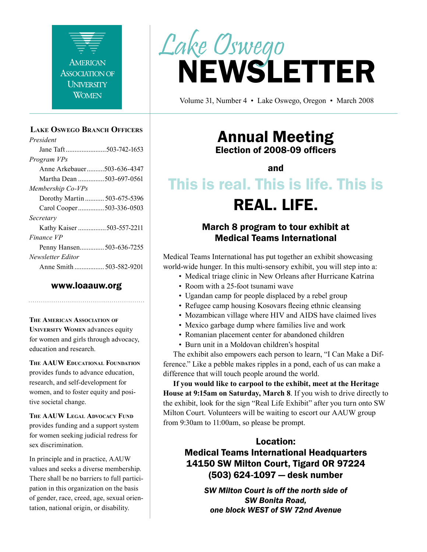

#### **Lake Oswego Branch Officers**

*President* Jane Taft .......................503-742-1653 *Program VPs* Anne Arkebauer..........503-636-4347 Martha Dean ...............503-697-0561 *Membership Co-VPs* Dorothy Martin ........... 503-675-5396 Carol Cooper...............503-336-0503 *Secretary* Kathy Kaiser ................503-557-2211 *Finance VP* Penny Hansen..............503-636-7255 *Newsletter Editor* Anne Smith ................. 503-582-9201

### www.loaauw.org

**The American Association of University Women** advances equity for women and girls through advocacy,

education and research.

**The AAUW Educational Foundation** provides funds to advance education, research, and self-development for women, and to foster equity and positive societal change.

**The AAUW Legal Advocacy Fund** provides funding and a support system for women seeking judicial redress for sex discrimination.

In principle and in practice, AAUW values and seeks a diverse membership. There shall be no barriers to full participation in this organization on the basis of gender, race, creed, age, sexual orientation, national origin, or disability.



Volume 31, Number 4 • Lake Oswego, Oregon • March 2008

### Annual Meeting Election of 2008-09 officers

and

# This is real. This is life. This is

### REAL. LIFE.

### March 8 program to tour exhibit at Medical Teams International

Medical Teams International has put together an exhibit showcasing world-wide hunger. In this multi-sensory exhibit, you will step into a:

- Medical triage clinic in New Orleans after Hurricane Katrina
- Room with a 25-foot tsunami wave
- Ugandan camp for people displaced by a rebel group
- Refugee camp housing Kosovars fleeing ethnic cleansing
- Mozambican village where HIV and AIDS have claimed lives
- Mexico garbage dump where families live and work
- Romanian placement center for abandoned children
- Burn unit in a Moldovan children's hospital

The exhibit also empowers each person to learn, "I Can Make a Difference." Like a pebble makes ripples in a pond, each of us can make a difference that will touch people around the world.

**If you would like to carpool to the exhibit, meet at the Heritage House at 9:15am on Saturday, March 8**. If you wish to drive directly to the exhibit, look for the sign "Real Life Exhibit" after you turn onto SW Milton Court. Volunteers will be waiting to escort our AAUW group from 9:30am to 11:00am, so please be prompt.

### Location:

Medical Teams International Headquarters 14150 SW Milton Court, Tigard OR 97224 (503) 624-1097 — desk number

> *SW Milton Court is off the north side of SW Bonita Road, one block WEST of SW 72nd Avenue*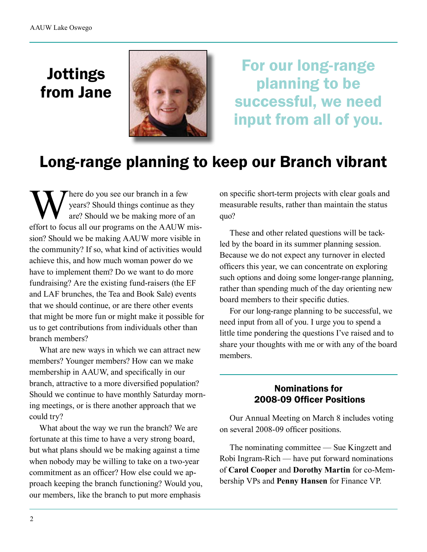# Jottings from Jane



For our long-range planning to be successful, we need input from all of you.

# Long-range planning to keep our Branch vibrant

Where do you see our branch in a few<br>
years? Should things continue as the<br>
are? Should we be making more of a<br>
effort to focus all our programs on the A AUW r years? Should things continue as they are? Should we be making more of an effort to focus all our programs on the AAUW mission? Should we be making AAUW more visible in the community? If so, what kind of activities would achieve this, and how much woman power do we have to implement them? Do we want to do more fundraising? Are the existing fund-raisers (the EF and LAF brunches, the Tea and Book Sale) events that we should continue, or are there other events that might be more fun or might make it possible for us to get contributions from individuals other than branch members?

What are new ways in which we can attract new members? Younger members? How can we make membership in AAUW, and specifically in our branch, attractive to a more diversified population? Should we continue to have monthly Saturday morning meetings, or is there another approach that we could try?

What about the way we run the branch? We are fortunate at this time to have a very strong board, but what plans should we be making against a time when nobody may be willing to take on a two-year commitment as an officer? How else could we approach keeping the branch functioning? Would you, our members, like the branch to put more emphasis

on specific short-term projects with clear goals and measurable results, rather than maintain the status quo?

These and other related questions will be tackled by the board in its summer planning session. Because we do not expect any turnover in elected officers this year, we can concentrate on exploring such options and doing some longer-range planning, rather than spending much of the day orienting new board members to their specific duties.

For our long-range planning to be successful, we need input from all of you. I urge you to spend a little time pondering the questions I've raised and to share your thoughts with me or with any of the board members.

### Nominations for 2008-09 Officer Positions

Our Annual Meeting on March 8 includes voting on several 2008-09 officer positions.

The nominating committee — Sue Kingzett and Robi Ingram-Rich — have put forward nominations of **Carol Cooper** and **Dorothy Martin** for co-Membership VPs and **Penny Hansen** for Finance VP.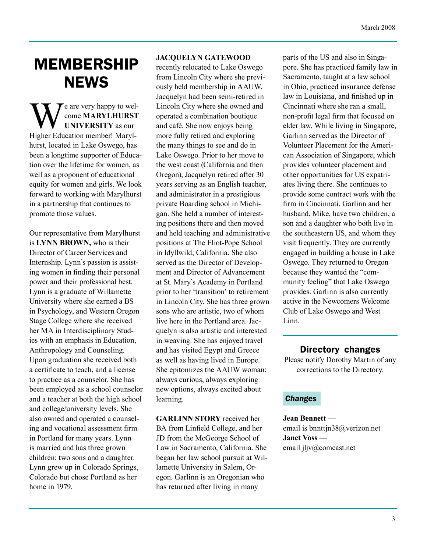# MEMBERSHIP **NEWS**

e are very happy to welcome **MARYLHURST UNIVERSITY** as our Higher Education member! Marylhurst, located in Lake Oswego, has been a longtime supporter of Education over the lifetime for women, as well as a proponent of educational equity for women and girls. We look forward to working with Marylhurst in a partnership that continues to promote those values.

Our representative from Marylhurst is **LYNN BROWN,** who is their Director of Career Services and Internship. Lynn's passion is assisting women in finding their personal power and their professional best. Lynn is a graduate of Willamette University where she earned a BS in Psychology, and Western Oregon Stage College where she received her MA in Interdisciplinary Studies with an emphasis in Education, Anthropology and Counseling. Upon graduation she received both a certificate to teach, and a license to practice as a counselor. She has been employed as a school counselor and a teacher at both the high school and college/university levels. She also owned and operated a counseling and vocational assessment firm in Portland for many years. Lynn is married and has three grown children: two sons and a daughter. Lynn grew up in Colorado Springs, Colorado but chose Portland as her home in 1979.

### **JACQUELYN GATEWOOD**

recently relocated to Lake Oswego from Lincoln City where she previously held membership in AAUW. Jacquelyn had been semi-retired in Lincoln City where she owned and operated a combination boutique and café. She now enjoys being more fully retired and exploring the many things to see and do in Lake Oswego. Prior to her move to the west coast (California and then Oregon), Jacquelyn retired after 30 years serving as an English teacher, and administrator in a prestigious private Boarding school in Michigan. She held a number of interesting positions there and then moved and held teaching and administrative positions at The Eliot-Pope School in Idyllwild, California. She also served as the Director of Development and Director of Advancement at St. Mary's Academy in Portland prior to her 'transition' to retirement in Lincoln City. She has three grown sons who are artistic, two of whom live here in the Portland area. Jacquelyn is also artistic and interested in weaving. She has enjoyed travel and has visited Egypt and Greece as well as having lived in Europe. She epitomizes the AAUW woman: always curious, always exploring new options, always excited about learning.

**GARLINN STORY** received her BA from Linfield College, and her JD from the McGeorge School of Law in Sacramento, California. She began her law school pursuit at Willamette University in Salem, Oregon. Garlinn is an Oregonian who has returned after living in many

parts of the US and also in Singapore. She has practiced family law in Sacramento, taught at a law school in Ohio, practiced insurance defense law in Louisiana, and finished up in Cincinnati where she ran a small, non-profit legal firm that focused on elder law. While living in Singapore, Garlinn served as the Director of Volunteer Placement for the American Association of Singapore, which provides volunteer placement and other opportunities for US expatriates living there. She continues to provide some contract work with the firm in Cincinnati. Garlinn and her husband, Mike, have two children, a son and a daughter who both live in the southeastern US, and whom they visit frequently. They are currently engaged in building a house in Lake Oswego. They returned to Oregon because they wanted the "community feeling" that Lake Oswego provides. Garlinn is also currently active in the Newcomers Welcome Club of Lake Oswego and West Linn.

Directory changes

Please notify Dorothy Martin of any corrections to the Directory.

#### *Changes*

**Jean Bennett** email is bnnttjn38@verizon.net **Janet Voss** email jljv@comcast.net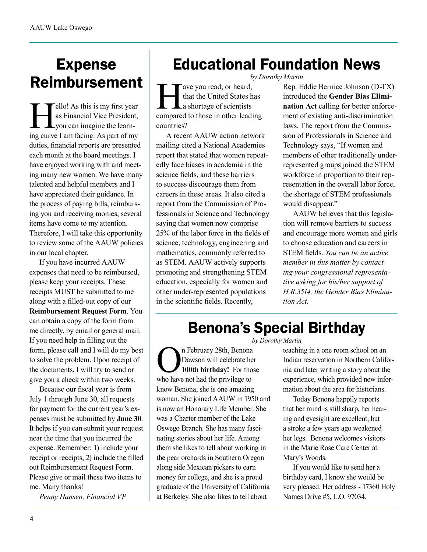# Expense Reimbursement

ello! As this is my first year as Financial Vice President, you can imagine the learning curve I am facing. As part of my duties, financial reports are presented each month at the board meetings. I have enjoyed working with and meeting many new women. We have many talented and helpful members and I have appreciated their guidance. In the process of paying bills, reimbursing you and receiving monies, several items have come to my attention. Therefore, I will take this opportunity to review some of the AAUW policies in our local chapter.

If you have incurred AAUW expenses that need to be reimbursed, please keep your receipts. These receipts MUST be submitted to me along with a filled-out copy of our **Reimbursement Request Form**. You can obtain a copy of the form from me directly, by email or general mail. If you need help in filling out the form, please call and I will do my best to solve the problem. Upon receipt of the documents, I will try to send or give you a check within two weeks.

Because our fiscal year is from July 1 through June 30, all requests for payment for the current year's expenses must be submitted by **June 30**. It helps if you can submit your request near the time that you incurred the expense. Remember: 1) include your receipt or receipts, 2) include the filled out Reimbursement Request Form. Please give or mail these two items to me. Many thanks!

*Penny Hansen, Financial VP*

# Educational Foundation News

*by Dorothy Martin*

Tave you read, or heard, that the United States has a shortage of scientists compared to those in other leading countries?

A recent AAUW action network mailing cited a National Academies report that stated that women repeatedly face biases in academia in the science fields, and these barriers to success discourage them from careers in these areas. It also cited a report from the Commission of Professionals in Science and Technology saying that women now comprise 25% of the labor force in the fields of science, technology, engineering and mathematics, commonly referred to as STEM. AAUW actively supports promoting and strengthening STEM education, especially for women and other under-represented populations in the scientific fields. Recently,

Rep. Eddie Bernice Johnson (D-TX) introduced the **Gender Bias Elimination Act** calling for better enforcement of existing anti-discrimination laws. The report from the Commission of Professionals in Science and Technology says, "If women and members of other traditionally underrepresented groups joined the STEM workforce in proportion to their representation in the overall labor force, the shortage of STEM professionals would disappear."

AAUW believes that this legislation will remove barriers to success and encourage more women and girls to choose education and careers in STEM fields. *You can be an active member in this matter by contacting your congressional representative asking for his/her support of H.R.3514, the Gender Bias Elimination Act.*

### Benona's Special Birthday

*by Dorothy Martin*

**On** February 28th, Benona<br>Dawson will celebrate her<br>who have not had the privilege to Dawson will celebrate her **100th birthday!** For those who have not had the privilege to know Benona, she is one amazing woman. She joined AAUW in 1950 and is now an Honorary Life Member. She was a Charter member of the Lake Oswego Branch. She has many fascinating stories about her life. Among them she likes to tell about working in the pear orchards in Southern Oregon along side Mexican pickers to earn money for college, and she is a proud graduate of the University of California at Berkeley. She also likes to tell about

teaching in a one room school on an Indian reservation in Northern California and later writing a story about the experience, which provided new information about the area for historians.

Today Benona happily reports that her mind is still sharp, her hearing and eyesight are excellent, but a stroke a few years ago weakened her legs. Benona welcomes visitors in the Marie Rose Care Center at Mary's Woods.

If you would like to send her a birthday card, I know she would be very pleased. Her address - 17360 Holy Names Drive #5, L.O. 97034.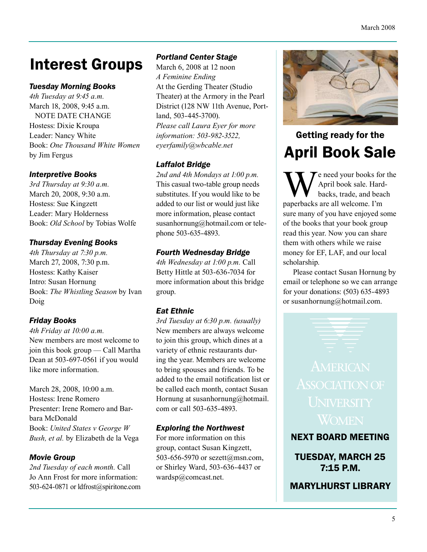# Interest Groups

### *Tuesday Morning Books*

*4th Tuesday at 9:45 a.m.* March 18, 2008, 9:45 a.m. NOTE DATE CHANGE Hostess: Dixie Kroupa Leader: Nancy White Book: *One Thousand White Women* by Jim Fergus

### *Interpretive Books*

*3rd Thursday at 9:30 a.m.* March 20, 2008, 9:30 a.m. Hostess: Sue Kingzett Leader: Mary Holderness Book: *Old School* by Tobias Wolfe

### *Thursday Evening Books*

*4th Thursday at 7:30 p.m.* March 27, 2008, 7:30 p.m. Hostess: Kathy Kaiser Intro: Susan Hornung Book: *The Whistling Season* by Ivan Doig

### *Friday Books*

*4th Friday at 10:00 a.m.* New members are most welcome to join this book group — Call Martha Dean at 503-697-0561 if you would like more information.

March 28, 2008, 10:00 a.m. Hostess: Irene Romero Presenter: Irene Romero and Barbara McDonald Book: *United States v George W Bush, et al.* by Elizabeth de la Vega

### *Movie Group*

*2nd Tuesday of each month.* Call Jo Ann Frost for more information: 503-624-0871 or ldfrost@spiritone.com

### *Portland Center Stage*

March 6, 2008 at 12 noon *A Feminine Ending* At the Gerding Theater (Studio Theater) at the Armory in the Pearl District (128 NW 11th Avenue, Portland, 503-445-3700). *Please call Laura Eyer for more information: 503-982-3522, eyerfamily@wbcable.net*

### *Laffalot Bridge*

*2nd and 4th Mondays at 1:00 p.m.* This casual two-table group needs substitutes. If you would like to be added to our list or would just like more information, please contact susanhornung@hotmail.com or telephone 503-635-4893.

### *Fourth Wednesday Bridge*

*4th Wednesday at 1:00 p.m.* Call Betty Hittle at 503-636-7034 for more information about this bridge group.

### *Eat Ethnic*

*3rd Tuesday at 6:30 p.m. (usually)* New members are always welcome to join this group, which dines at a variety of ethnic restaurants during the year. Members are welcome to bring spouses and friends. To be added to the email notification list or be called each month, contact Susan Hornung at susanhornung@hotmail. com or call 503-635-4893.

### *Exploring the Northwest*

For more information on this group, contact Susan Kingzett, 503-656-5970 or sezett@msn.com, or Shirley Ward, 503-636-4437 or wardsp@comcast.net.



### Getting ready for the April Book Sale

The need your books for the April book sale. Hardbacks, trade, and beach paperbacks are all welcome. I'm sure many of you have enjoyed some of the books that your book group read this year. Now you can share them with others while we raise money for EF, LAF, and our local scholarship.

Please contact Susan Hornung by email or telephone so we can arrange for your donations: (503) 635-4893 or susanhornung@hotmail.com.

NEXT BOARD MEETING

TUESDAY, MARCH 25 7:15 P.M.

MARYLHURST LIBRARY